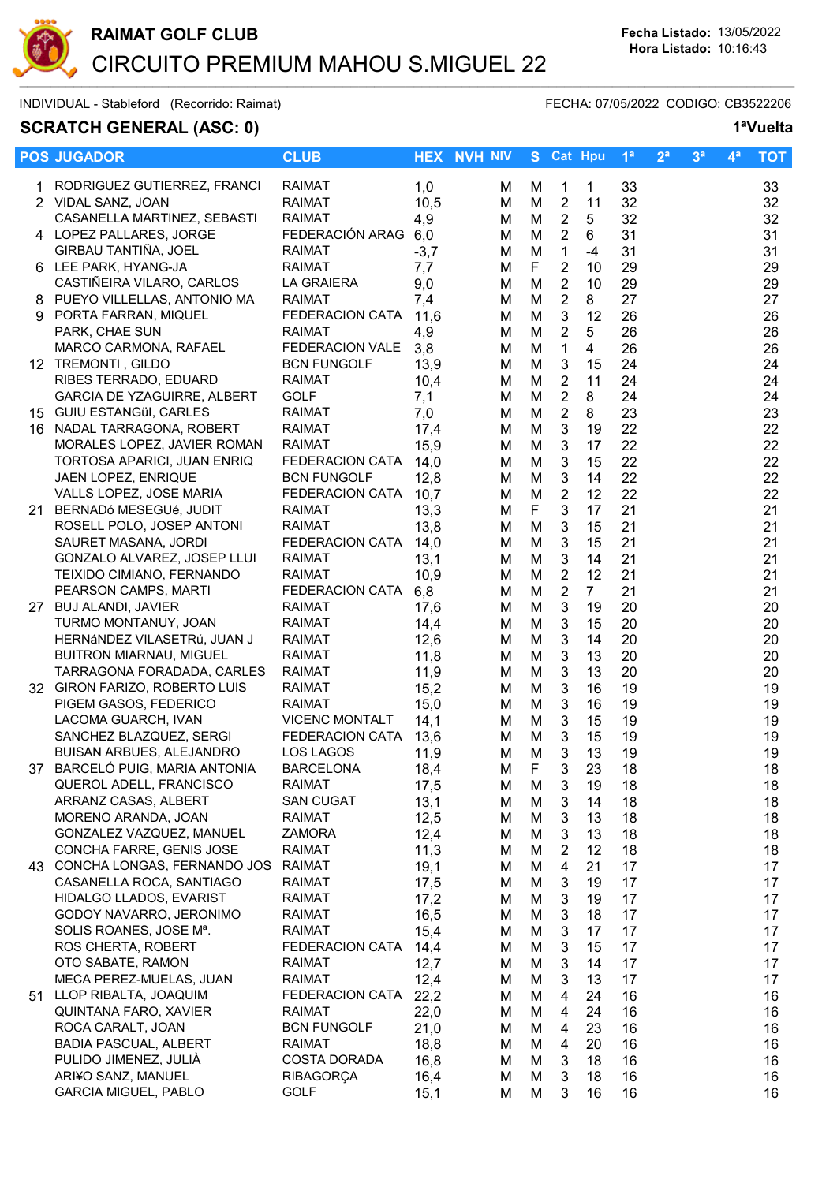

# SCRATCH GENERAL (ASC: 0) 1<sup>a</sup>Vuelta

|    | <b>POS JUGADOR</b>                                          | <b>CLUB</b>                    |              | <b>HEX NVH NIV</b> |        | S Cat Hpu                 |                | 1 <sup>a</sup> | 2 <sup>a</sup> | 3 <sup>a</sup> | 4ª | <b>TOT</b> |
|----|-------------------------------------------------------------|--------------------------------|--------------|--------------------|--------|---------------------------|----------------|----------------|----------------|----------------|----|------------|
|    | RODRIGUEZ GUTIERREZ, FRANCI                                 | <b>RAIMAT</b>                  | 1,0          | м                  | м      | $\mathbf{1}$              | 1              | 33             |                |                |    | 33         |
|    | 2 VIDAL SANZ, JOAN                                          | <b>RAIMAT</b>                  | 10,5         | М                  | M      | $\overline{2}$            | 11             | 32             |                |                |    | 32         |
|    | CASANELLA MARTINEZ, SEBASTI                                 | <b>RAIMAT</b>                  | 4,9          | м                  | M      | $\boldsymbol{2}$          | 5              | 32             |                |                |    | 32         |
|    | 4 LOPEZ PALLARES, JORGE                                     | FEDERACIÓN ARAG 6,0            |              | м                  | M      | $\sqrt{2}$                | 6              | 31             |                |                |    | 31         |
|    | GIRBAU TANTIÑA, JOEL                                        | <b>RAIMAT</b>                  | $-3,7$       | M                  | M      | $\mathbf{1}$              | $-4$           | 31             |                |                |    | 31         |
|    | 6 LEE PARK, HYANG-JA                                        | <b>RAIMAT</b>                  | 7,7          | M                  | F      | $\boldsymbol{2}$          | 10             | 29             |                |                |    | 29         |
|    | CASTIÑEIRA VILARO, CARLOS                                   | LA GRAIERA                     | 9,0          | M                  | M      | $\overline{2}$            | 10             | 29             |                |                |    | 29         |
|    | 8 PUEYO VILLELLAS, ANTONIO MA                               | <b>RAIMAT</b>                  | 7,4          | M                  | M      | $\overline{2}$            | 8              | 27             |                |                |    | 27         |
| 9  | PORTA FARRAN, MIQUEL                                        | <b>FEDERACION CATA</b>         | 11,6         | M                  | M      | 3                         | 12             | 26             |                |                |    | 26         |
|    | PARK, CHAE SUN                                              | <b>RAIMAT</b>                  | 4,9          | M                  | M      | $\overline{2}$            | 5              | 26             |                |                |    | 26         |
|    | MARCO CARMONA, RAFAEL                                       | FEDERACION VALE                | 3,8          | M                  | M      | $\mathbf{1}$              | 4              | 26             |                |                |    | 26         |
|    | 12 TREMONTI, GILDO                                          | <b>BCN FUNGOLF</b>             | 13,9         | м                  | M      | 3                         | 15             | 24             |                |                |    | 24         |
|    | RIBES TERRADO, EDUARD                                       | <b>RAIMAT</b>                  | 10,4         | M                  | M      | $\overline{2}$            | 11             | 24             |                |                |    | 24         |
|    | GARCIA DE YZAGUIRRE, ALBERT                                 | <b>GOLF</b>                    | 7,1          | M                  | M      | $\overline{2}$            | 8              | 24             |                |                |    | 24         |
|    | 15 GUIU ESTANGÜI, CARLES                                    | <b>RAIMAT</b>                  | 7,0          | M                  | M      | $\boldsymbol{2}$          | 8              | 23             |                |                |    | 23         |
|    | 16 NADAL TARRAGONA, ROBERT                                  | <b>RAIMAT</b>                  | 17,4         | м                  | M      | $\sqrt{3}$                | 19             | 22             |                |                |    | 22         |
|    | MORALES LOPEZ, JAVIER ROMAN                                 | <b>RAIMAT</b>                  | 15,9         | M                  | M      | $\ensuremath{\mathsf{3}}$ | 17             | 22             |                |                |    | 22         |
|    | TORTOSA APARICI, JUAN ENRIQ                                 | FEDERACION CATA                | 14,0         | M                  | M      | 3                         | 15             | 22             |                |                |    | 22         |
|    | JAEN LOPEZ, ENRIQUE                                         | <b>BCN FUNGOLF</b>             | 12,8         | M                  | M      | $\mathbf{3}$              | 14             | 22             |                |                |    | 22         |
|    | VALLS LOPEZ, JOSE MARIA                                     | <b>FEDERACION CATA</b>         | 10,7         | M                  | M      | $\overline{2}$            | 12             | 22             |                |                |    | 22         |
|    | 21 BERNADÓ MESEGUÉ, JUDIT                                   | <b>RAIMAT</b>                  | 13,3         | M                  | F      | $\mathbf{3}$              | 17             | 21             |                |                |    | 21         |
|    | ROSELL POLO, JOSEP ANTONI                                   | RAIMAT                         | 13,8         | м                  | M      | $\mathbf{3}$              | 15             | 21             |                |                |    | 21         |
|    | SAURET MASANA, JORDI                                        | FEDERACION CATA                | 14,0         | м                  | M      | 3                         | 15             | 21             |                |                |    | 21         |
|    | GONZALO ALVAREZ, JOSEP LLUI                                 | <b>RAIMAT</b>                  | 13,1         | M                  | M      | $\mathbf{3}$              | 14             | 21             |                |                |    | 21         |
|    | TEIXIDO CIMIANO, FERNANDO                                   | <b>RAIMAT</b>                  | 10,9         | м                  | M      | $\overline{c}$            | 12             | 21             |                |                |    | 21         |
|    | PEARSON CAMPS, MARTI                                        | FEDERACION CATA                | 6,8          | M                  | M      | $\overline{2}$            | 7 <sup>1</sup> | 21             |                |                |    | 21         |
|    | 27 BUJ ALANDI, JAVIER                                       | <b>RAIMAT</b>                  | 17,6         | м                  | M      | $\sqrt{3}$                | 19             | 20             |                |                |    | 20         |
|    | TURMO MONTANUY, JOAN                                        | <b>RAIMAT</b>                  | 14,4         | м                  | M      | $\sqrt{3}$                | 15             | 20             |                |                |    | 20         |
|    | HERNÁNDEZ VILASETRÚ, JUAN J                                 | RAIMAT                         | 12,6         | м                  | M      | $\ensuremath{\mathsf{3}}$ | 14             | 20             |                |                |    | 20         |
|    | <b>BUITRON MIARNAU, MIGUEL</b>                              | RAIMAT                         | 11,8         | M                  | M      | $\ensuremath{\mathsf{3}}$ | 13<br>13       | 20<br>20       |                |                |    | 20         |
|    | TARRAGONA FORADADA, CARLES<br>32 GIRON FARIZO, ROBERTO LUIS | <b>RAIMAT</b><br><b>RAIMAT</b> | 11,9<br>15,2 | M<br>M             | M<br>M | 3<br>$\mathbf{3}$         | 16             | 19             |                |                |    | 20<br>19   |
|    | PIGEM GASOS, FEDERICO                                       | <b>RAIMAT</b>                  | 15,0         | М                  | M      | $\mathbf{3}$              | 16             | 19             |                |                |    | 19         |
|    | LACOMA GUARCH, IVAN                                         | <b>VICENC MONTALT</b>          | 14,1         | M                  | M      | 3                         | 15             | 19             |                |                |    | 19         |
|    | SANCHEZ BLAZQUEZ, SERGI                                     | <b>FEDERACION CATA</b>         | 13,6         | M                  | M      | 3                         | 15             | 19             |                |                |    | 19         |
|    | BUISAN ARBUES, ALEJANDRO                                    | LOS LAGOS                      | 11,9         | M                  | M      | $\mathbf{3}$              | 13             | 19             |                |                |    | 19         |
| 37 | BARCELÓ PUIG, MARIA ANTONIA                                 | <b>BARCELONA</b>               | 18,4         | М                  | F      | 3                         | 23             | 18             |                |                |    | 18         |
|    | QUEROL ADELL, FRANCISCO                                     | <b>RAIMAT</b>                  | 17,5         | М                  | M      | 3                         | 19             | 18             |                |                |    | 18         |
|    | ARRANZ CASAS, ALBERT                                        | <b>SAN CUGAT</b>               | 13,1         | M                  | M      | 3                         | 14             | 18             |                |                |    | 18         |
|    | MORENO ARANDA, JOAN                                         | <b>RAIMAT</b>                  | 12,5         | м                  | M      | 3                         | 13             | 18             |                |                |    | 18         |
|    | GONZALEZ VAZQUEZ, MANUEL                                    | <b>ZAMORA</b>                  | 12,4         | м                  | M      | $\sqrt{3}$                | 13             | 18             |                |                |    | 18         |
|    | CONCHA FARRE, GENIS JOSE                                    | <b>RAIMAT</b>                  | 11,3         | м                  | M      | $\overline{c}$            | 12             | 18             |                |                |    | 18         |
|    | 43 CONCHA LONGAS, FERNANDO JOS                              | <b>RAIMAT</b>                  | 19,1         | M                  | M      | $\overline{4}$            | 21             | 17             |                |                |    | 17         |
|    | CASANELLA ROCA, SANTIAGO                                    | <b>RAIMAT</b>                  | 17,5         | м                  | M      | 3                         | 19             | 17             |                |                |    | 17         |
|    | HIDALGO LLADOS, EVARIST                                     | <b>RAIMAT</b>                  | 17,2         | м                  | M      | 3                         | 19             | 17             |                |                |    | 17         |
|    | GODOY NAVARRO, JERONIMO                                     | <b>RAIMAT</b>                  | 16,5         | M                  | M      | 3                         | 18             | 17             |                |                |    | 17         |
|    | SOLIS ROANES, JOSE Mª.                                      | <b>RAIMAT</b>                  | 15,4         | м                  | M      | 3                         | 17             | 17             |                |                |    | 17         |
|    | ROS CHERTA, ROBERT                                          | <b>FEDERACION CATA</b>         | 14,4         | м                  | M      | 3                         | 15             | 17             |                |                |    | 17         |
|    | OTO SABATE, RAMON                                           | <b>RAIMAT</b>                  | 12,7         | м                  | M      | 3                         | 14             | 17             |                |                |    | 17         |
|    | MECA PEREZ-MUELAS, JUAN                                     | <b>RAIMAT</b>                  | 12,4         | м                  | M      | 3                         | 13             | 17             |                |                |    | 17         |
|    | 51 LLOP RIBALTA, JOAQUIM                                    | FEDERACION CATA                | 22,2         | м                  | M      | 4                         | 24             | 16             |                |                |    | 16         |
|    | QUINTANA FARO, XAVIER                                       | <b>RAIMAT</b>                  | 22,0         | M                  | M      | $\overline{4}$            | 24             | 16             |                |                |    | 16         |
|    | ROCA CARALT, JOAN                                           | <b>BCN FUNGOLF</b>             | 21,0         | м                  | M      | 4                         | 23             | 16             |                |                |    | 16         |
|    | <b>BADIA PASCUAL, ALBERT</b>                                | <b>RAIMAT</b>                  | 18,8         | м                  | M      | 4                         | 20             | 16             |                |                |    | 16         |
|    | PULIDO JIMENEZ, JULIÀ                                       | <b>COSTA DORADA</b>            | 16,8         | м                  | M      | 3                         | 18             | 16             |                |                |    | 16         |
|    | ARI¥O SANZ, MANUEL                                          | <b>RIBAGORÇA</b>               | 16,4         | M                  | M      | 3                         | 18             | 16             |                |                |    | 16         |
|    | <b>GARCIA MIGUEL, PABLO</b>                                 | <b>GOLF</b>                    | 15,1         | Μ                  | M      | 3                         | 16             | 16             |                |                |    | 16         |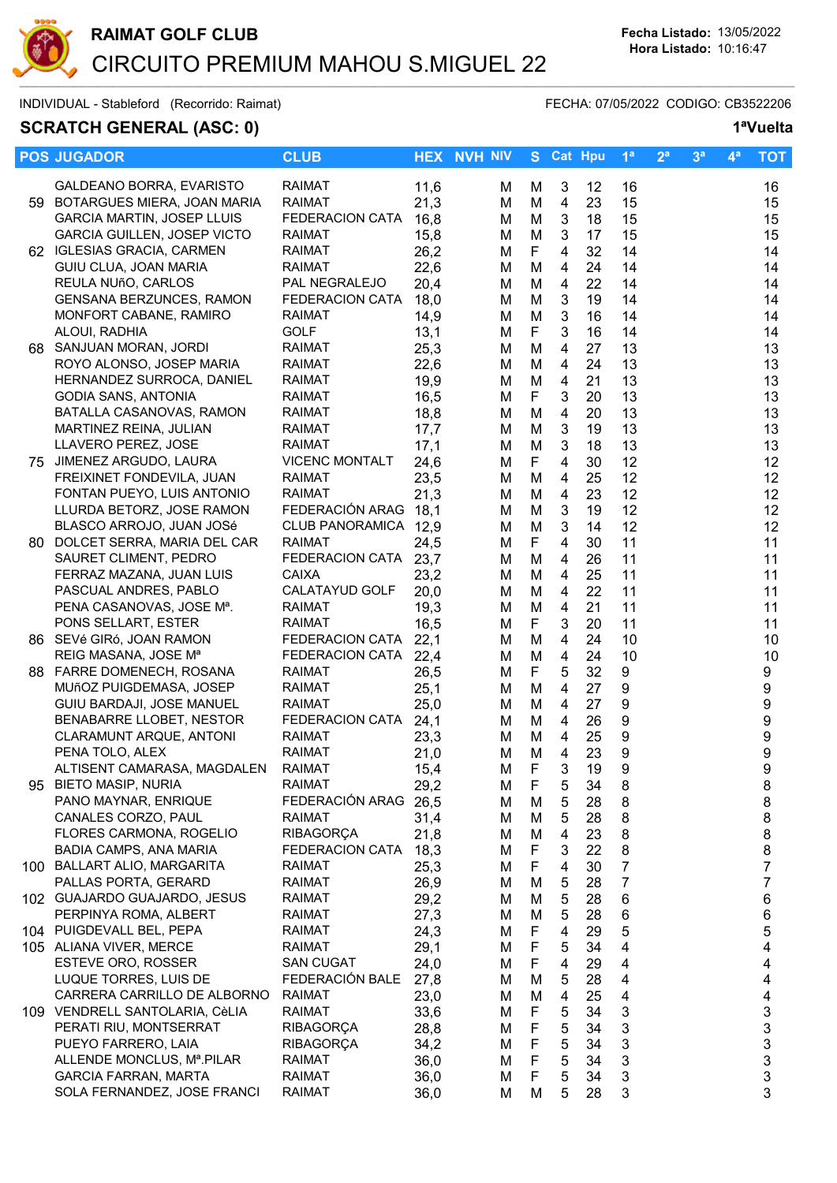

# **SCRATCH GENERAL (ASC: 0)**

| 1 <sup>a</sup> Vuelta |
|-----------------------|
|                       |

|     | <b>POS JUGADOR</b>                 | <b>CLUB</b>           |      | <b>HEX NVH NIV</b> | S.          |                          | <b>Cat Hpu</b> | 1 <sup>a</sup>   | 2 <sup>a</sup> | 3 <sup>a</sup> | 4ª | <b>TOT</b>       |
|-----|------------------------------------|-----------------------|------|--------------------|-------------|--------------------------|----------------|------------------|----------------|----------------|----|------------------|
|     | GALDEANO BORRA, EVARISTO           | <b>RAIMAT</b>         | 11,6 | м                  | М           | 3                        | 12             | 16               |                |                |    | 16               |
| 59  | BOTARGUES MIERA, JOAN MARIA        | <b>RAIMAT</b>         | 21,3 | м                  | M           | 4                        | 23             | 15               |                |                |    | 15               |
|     | GARCIA MARTIN, JOSEP LLUIS         | FEDERACION CATA       | 16,8 | м                  | M           | 3                        | 18             | 15               |                |                |    | 15               |
|     | <b>GARCIA GUILLEN, JOSEP VICTO</b> | <b>RAIMAT</b>         | 15,8 | м                  | M           | 3                        | 17             | 15               |                |                |    | 15               |
|     | 62 IGLESIAS GRACIA, CARMEN         | <b>RAIMAT</b>         | 26,2 |                    | F           | $\overline{4}$           | 32             | 14               |                |                |    | 14               |
|     | GUIU CLUA, JOAN MARIA              | RAIMAT                | 22,6 | M                  | M           | $\overline{4}$           | 24             | 14               |                |                |    | 14               |
|     | REULA NUñO, CARLOS                 | PAL NEGRALEJO         |      | M                  | M           | $\overline{\mathbf{4}}$  | 22             | 14               |                |                |    | 14               |
|     |                                    |                       | 20,4 | M                  |             |                          |                |                  |                |                |    |                  |
|     | <b>GENSANA BERZUNCES, RAMON</b>    | FEDERACION CATA       | 18,0 | M                  | M           | 3                        | 19             | 14               |                |                |    | 14               |
|     | MONFORT CABANE, RAMIRO             | <b>RAIMAT</b>         | 14,9 | M                  | M           | $\mathfrak{S}$           | 16             | 14               |                |                |    | 14               |
|     | ALOUI, RADHIA                      | <b>GOLF</b>           | 13,1 | м                  | F           | $\mathfrak{S}$           | 16             | 14               |                |                |    | 14               |
| 68  | SANJUAN MORAN, JORDI               | <b>RAIMAT</b>         | 25,3 | М                  | M           | 4                        | 27             | 13               |                |                |    | 13               |
|     | ROYO ALONSO, JOSEP MARIA           | <b>RAIMAT</b>         | 22,6 | м                  | M           | 4                        | 24             | 13               |                |                |    | 13               |
|     | HERNANDEZ SURROCA, DANIEL          | <b>RAIMAT</b>         | 19,9 | м                  | M           | 4                        | 21             | 13               |                |                |    | 13               |
|     | GODIA SANS, ANTONIA                | <b>RAIMAT</b>         | 16,5 | M                  | F           | 3                        | 20             | 13               |                |                |    | 13               |
|     | BATALLA CASANOVAS, RAMON           | RAIMAT                | 18,8 | м                  | M           | 4                        | 20             | 13               |                |                |    | 13               |
|     | MARTINEZ REINA, JULIAN             | <b>RAIMAT</b>         | 17,7 | м                  | M           | 3                        | 19             | 13               |                |                |    | 13               |
|     | LLAVERO PEREZ, JOSE                | <b>RAIMAT</b>         | 17,1 | M                  | M           | $\mathbf{3}$             | 18             | 13               |                |                |    | 13               |
|     | 75 JIMENEZ ARGUDO, LAURA           | <b>VICENC MONTALT</b> | 24,6 | M                  | F           | $\overline{4}$           | 30             | 12               |                |                |    | 12               |
|     | FREIXINET FONDEVILA, JUAN          | <b>RAIMAT</b>         | 23,5 | M                  | M           | $\overline{4}$           | 25             | 12               |                |                |    | 12               |
|     | FONTAN PUEYO, LUIS ANTONIO         | <b>RAIMAT</b>         | 21,3 | M                  | M           | $\overline{\mathbf{4}}$  | 23             | 12               |                |                |    | 12               |
|     | LLURDA BETORZ, JOSE RAMON          | FEDERACIÓN ARAG 18,1  |      | M                  | M           | 3                        | 19             | 12               |                |                |    | 12               |
|     | BLASCO ARROJO, JUAN JOSé           | CLUB PANORAMICA 12,9  |      | M                  | M           | $\mathfrak{S}$           | 14             | 12               |                |                |    | 12               |
| 80. | DOLCET SERRA, MARIA DEL CAR        | <b>RAIMAT</b>         | 24,5 | м                  | F           | $\overline{4}$           | 30             | 11               |                |                |    | 11               |
|     | SAURET CLIMENT, PEDRO              | FEDERACION CATA 23,7  |      | М                  | M           | 4                        | 26             | 11               |                |                |    | 11               |
|     | FERRAZ MAZANA, JUAN LUIS           | <b>CAIXA</b>          | 23,2 | М                  | M           | 4                        | 25             | 11               |                |                |    | 11               |
|     | PASCUAL ANDRES, PABLO              | CALATAYUD GOLF        | 20,0 | м                  | M           | 4                        | 22             | 11               |                |                |    | 11               |
|     | PENA CASANOVAS, JOSE Mª.           | <b>RAIMAT</b>         | 19,3 | м                  | M           | 4                        | 21             | 11               |                |                |    | 11               |
|     | PONS SELLART, ESTER                | <b>RAIMAT</b>         | 16,5 | м                  | F           | 3                        | 20             | 11               |                |                |    | 11               |
|     | 86 SEVé GIRó, JOAN RAMON           | FEDERACION CATA       | 22,1 | м                  | M           | 4                        | 24             | 10               |                |                |    | 10               |
|     | REIG MASANA, JOSE Mª               | FEDERACION CATA       | 22,4 | M                  | M           | $\overline{\mathcal{A}}$ | 24             | 10               |                |                |    | 10               |
|     | 88 FARRE DOMENECH, ROSANA          | <b>RAIMAT</b>         | 26,5 | М                  | F           | 5                        | 32             | 9                |                |                |    | 9                |
|     | MUñOZ PUIGDEMASA, JOSEP            | <b>RAIMAT</b>         | 25,1 | M                  | M           | $\overline{4}$           | 27             | $\boldsymbol{9}$ |                |                |    | $\boldsymbol{9}$ |
|     | GUIU BARDAJI, JOSE MANUEL          | <b>RAIMAT</b>         | 25,0 | М                  | M           | $\overline{4}$           | 27             | 9                |                |                |    | 9                |
|     | BENABARRE LLOBET, NESTOR           | FEDERACION CATA 24,1  |      | М                  | M           | 4                        | 26             | $\boldsymbol{9}$ |                |                |    | 9                |
|     | CLARAMUNT ARQUE, ANTONI            | <b>RAIMAT</b>         | 23,3 | м                  | M           | 4                        | 25             | 9                |                |                |    | 9                |
|     | PENA TOLO, ALEX                    | RAIMAT                | 21,0 | M                  | M           | $\overline{4}$           | 23             | $\boldsymbol{9}$ |                |                |    | 9                |
|     | ALTISENT CAMARASA, MAGDALEN        | <b>RAIMAT</b>         | 15,4 | М                  | F.          | 3                        | 19             | q                |                |                |    | 9                |
|     | 95 BIETO MASIP, NURIA              | RAIMAT                | 29,2 | м                  | F.          | 5                        | 34             | 8                |                |                |    | 8                |
|     | PANO MAYNAR, ENRIQUE               | FEDERACIÓN ARAG       | 26,5 | м                  | м           | 5                        | 28             | 8                |                |                |    | 8                |
|     | CANALES CORZO, PAUL                | <b>RAIMAT</b>         | 31,4 | м                  | M           | 5                        | 28             | 8                |                |                |    | 8                |
|     | FLORES CARMONA, ROGELIO            | <b>RIBAGORÇA</b>      | 21,8 | м                  | M           | 4                        | 23             | 8                |                |                |    | 8                |
|     | <b>BADIA CAMPS, ANA MARIA</b>      | FEDERACION CATA       | 18,3 | м                  | F           | 3                        | 22             | 8                |                |                |    | 8                |
|     | 100 BALLART ALIO, MARGARITA        | <b>RAIMAT</b>         | 25,3 | м                  | F           | 4                        | 30             | 7                |                |                |    | 7                |
|     | PALLAS PORTA, GERARD               | RAIMAT                | 26,9 | м                  | M           | 5                        | 28             | $\overline{7}$   |                |                |    | 7                |
|     | 102 GUAJARDO GUAJARDO, JESUS       | RAIMAT                | 29,2 | м                  | M           | 5                        | 28             | 6                |                |                |    | 6                |
|     | PERPINYA ROMA, ALBERT              | RAIMAT                | 27,3 | м                  | M           | 5                        | 28             | 6                |                |                |    | 6                |
|     | 104 PUIGDEVALL BEL, PEPA           | RAIMAT                | 24,3 | м                  | F           |                          |                |                  |                |                |    |                  |
|     |                                    |                       |      |                    |             | 4                        | 29<br>34       | 5                |                |                |    | 5                |
|     | 105 ALIANA VIVER, MERCE            | RAIMAT                | 29,1 | м                  | F           | 5                        |                | 4                |                |                |    | 4                |
|     | ESTEVE ORO, ROSSER                 | <b>SAN CUGAT</b>      | 24,0 | м                  | F           | 4                        | 29             | 4                |                |                |    | 4                |
|     | LUQUE TORRES, LUIS DE              | FEDERACIÓN BALE       | 27,8 | м                  | M           | 5                        | 28             | 4                |                |                |    | 4                |
|     | CARRERA CARRILLO DE ALBORNO        | <b>RAIMAT</b>         | 23,0 | м                  | M           | 4                        | 25             | 4                |                |                |    | 4                |
|     | 109 VENDRELL SANTOLARIA, CèLIA     | RAIMAT                | 33,6 | м                  | F           | 5                        | 34             | 3                |                |                |    | 3                |
|     | PERATI RIU, MONTSERRAT             | <b>RIBAGORÇA</b>      | 28,8 | м                  | F           | 5                        | 34             | 3                |                |                |    | 3                |
|     | PUEYO FARRERO, LAIA                | <b>RIBAGORÇA</b>      | 34,2 | м                  | F           | 5                        | 34             | 3                |                |                |    | 3                |
|     | ALLENDE MONCLUS, Mª.PILAR          | <b>RAIMAT</b>         | 36,0 | м                  | $\mathsf F$ | 5                        | 34             | 3                |                |                |    | 3                |
|     | <b>GARCIA FARRAN, MARTA</b>        | <b>RAIMAT</b>         | 36,0 | M                  | F           | 5                        | 34             | 3                |                |                |    | 3                |
|     | SOLA FERNANDEZ, JOSE FRANCI        | <b>RAIMAT</b>         | 36,0 | M                  | M           | 5                        | 28             | 3                |                |                |    | 3                |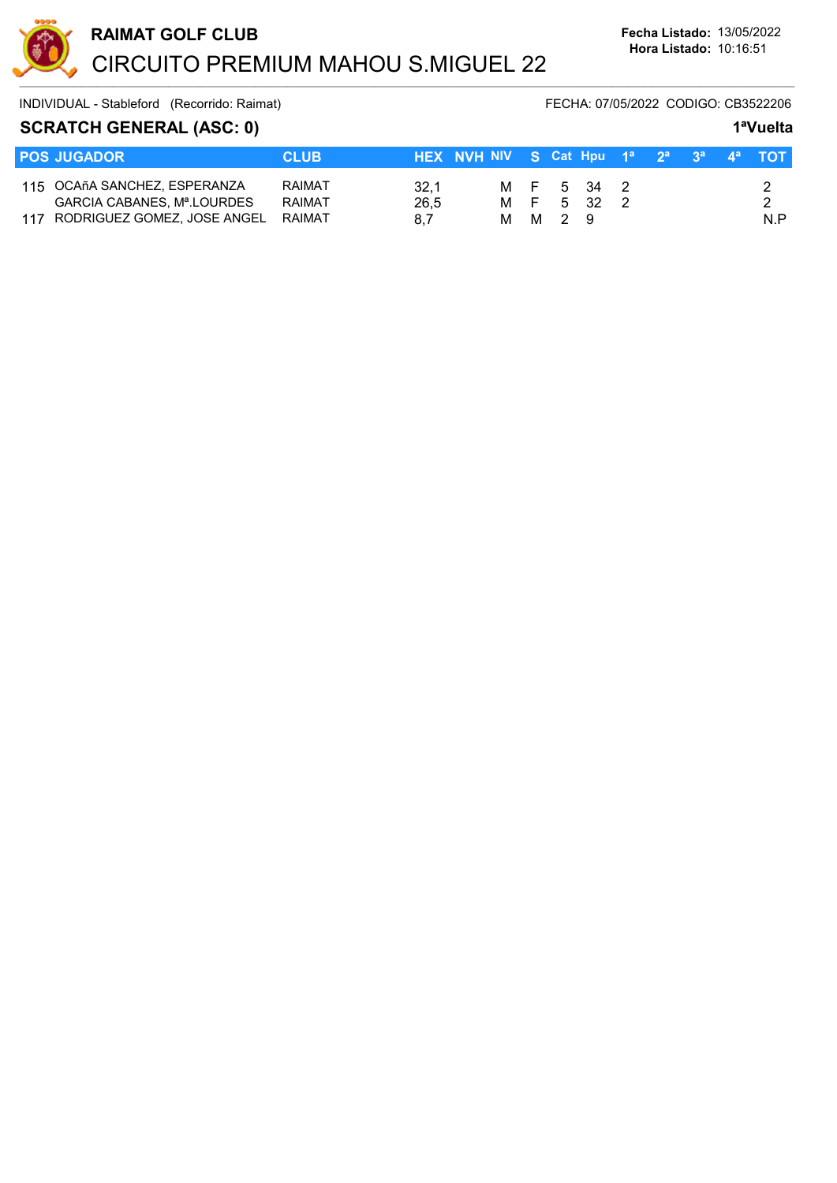

#### SCRATCH GENERAL (ASC: 0) 1<sup>a</sup>Vuelta

| <b>POS JUGADOR</b>                                                                            | <b>CLUB</b>                              | HEX NVH NIV S Cat Hpu $1^a$ $2^a$ $3^a$ $4^a$ TOT |  |  |         |                          |  |  |  |  |     |  |
|-----------------------------------------------------------------------------------------------|------------------------------------------|---------------------------------------------------|--|--|---------|--------------------------|--|--|--|--|-----|--|
| 115 OCAñA SANCHEZ, ESPERANZA<br>GARCIA CABANES, Mª.LOURDES<br>117 RODRIGUEZ GOMEZ, JOSE ANGEL | <b>RAIMAT</b><br><b>RAIMAT</b><br>RAIMAT | 32.1<br>26.5<br>8.7                               |  |  | M M 2 9 | M F 5 34 2<br>M F 5 32 2 |  |  |  |  | N.P |  |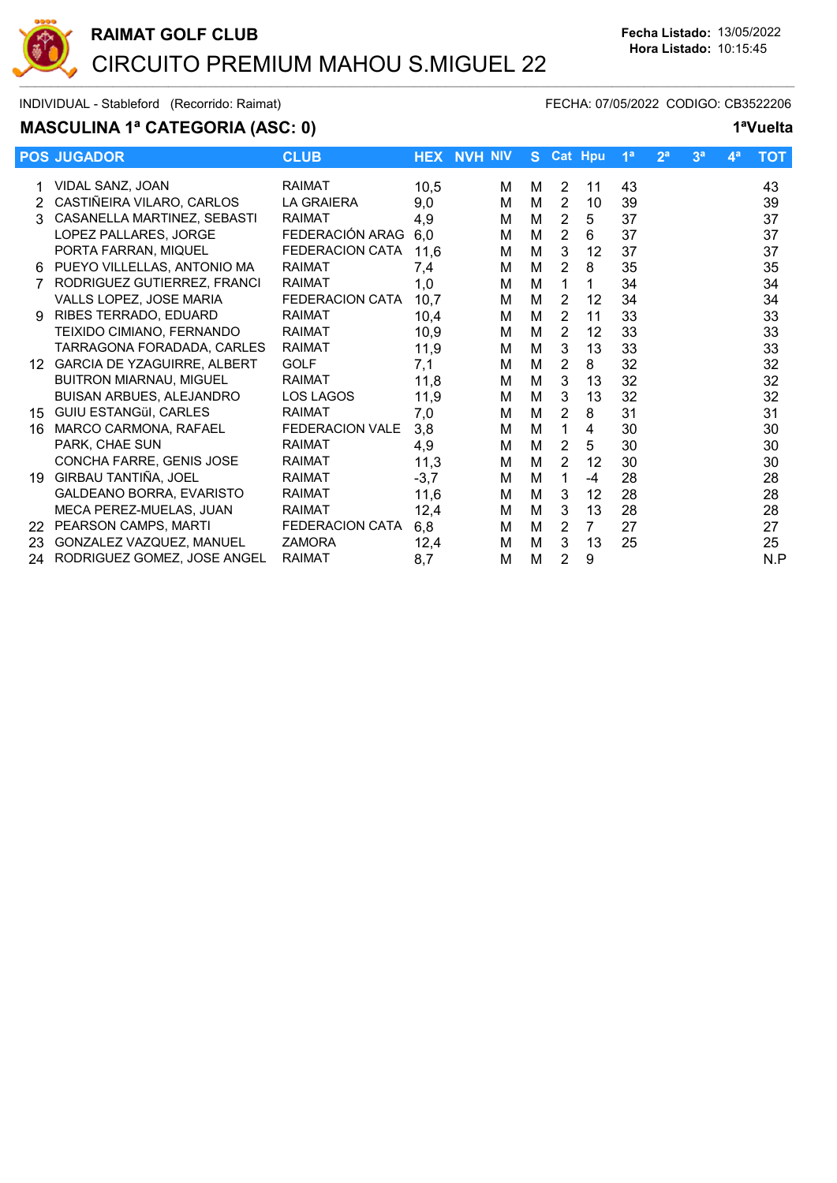

# MASCULINA 1ª CATEGORIA (ASC: 0) 1ªVuelta

|     | <b>POS JUGADOR</b>             | <b>CLUB</b>            |        | <b>HEX NVH NIV</b> |   |                | S Cat Hpu      | 1 <sup>a</sup> | 2 <sup>a</sup> | 3 <sup>a</sup> | 4 <sup>a</sup> | ТОТ |
|-----|--------------------------------|------------------------|--------|--------------------|---|----------------|----------------|----------------|----------------|----------------|----------------|-----|
|     | VIDAL SANZ, JOAN               | <b>RAIMAT</b>          | 10,5   | м                  | м | 2              | 11             | 43             |                |                |                | 43  |
|     | CASTIÑEIRA VILARO, CARLOS      | <b>LA GRAIERA</b>      | 9,0    | М                  | M | $\overline{2}$ | 10             | 39             |                |                |                | 39  |
|     | CASANELLA MARTINEZ, SEBASTI    | <b>RAIMAT</b>          | 4,9    | М                  | М | $\overline{2}$ | 5              | 37             |                |                |                | 37  |
|     | LOPEZ PALLARES, JORGE          | FEDERACIÓN ARAG        | 6,0    | М                  | M | $\overline{2}$ | 6              | 37             |                |                |                | 37  |
|     | PORTA FARRAN, MIQUEL           | FEDERACION CATA        | 11,6   | М                  | M | 3              | 12             | 37             |                |                |                | 37  |
| 6   | PUEYO VILLELLAS, ANTONIO MA    | <b>RAIMAT</b>          | 7,4    | M                  | M | $\overline{2}$ | 8              | 35             |                |                |                | 35  |
|     | RODRIGUEZ GUTIERREZ, FRANCI    | <b>RAIMAT</b>          | 1,0    | М                  | M | 1              | 1              | 34             |                |                |                | 34  |
|     | VALLS LOPEZ, JOSE MARIA        | <b>FEDERACION CATA</b> | 10,7   | М                  | M | 2              | 12             | 34             |                |                |                | 34  |
| 9   | RIBES TERRADO, EDUARD          | <b>RAIMAT</b>          | 10,4   | М                  | M | 2              | 11             | 33             |                |                |                | 33  |
|     | TEIXIDO CIMIANO, FERNANDO      | <b>RAIMAT</b>          | 10,9   | м                  | M | 2              | 12             | 33             |                |                |                | 33  |
|     | TARRAGONA FORADADA, CARLES     | <b>RAIMAT</b>          | 11,9   | м                  | M | 3              | 13             | 33             |                |                |                | 33  |
| 12. | GARCIA DE YZAGUIRRE, ALBERT    | <b>GOLF</b>            | 7,1    | М                  | М | $\overline{2}$ | 8              | 32             |                |                |                | 32  |
|     | <b>BUITRON MIARNAU, MIGUEL</b> | <b>RAIMAT</b>          | 11,8   | М                  | М | 3              | 13             | 32             |                |                |                | 32  |
|     | BUISAN ARBUES, ALEJANDRO       | LOS LAGOS              | 11,9   | м                  | M | 3              | 13             | 32             |                |                |                | 32  |
| 15  | <b>GUIU ESTANGüI, CARLES</b>   | <b>RAIMAT</b>          | 7,0    | М                  | М | 2              | 8              | 31             |                |                |                | 31  |
| 16  | MARCO CARMONA, RAFAEL          | <b>FEDERACION VALE</b> | 3,8    | м                  | M | 1              | 4              | 30             |                |                |                | 30  |
|     | PARK, CHAE SUN                 | <b>RAIMAT</b>          | 4,9    | М                  | M | 2              | 5              | 30             |                |                |                | 30  |
|     | CONCHA FARRE, GENIS JOSE       | <b>RAIMAT</b>          | 11,3   | М                  | М | $\overline{2}$ | 12             | 30             |                |                |                | 30  |
| 19  | GIRBAU TANTIÑA, JOEL           | <b>RAIMAT</b>          | $-3,7$ | М                  | M | 1.             | $-4$           | 28             |                |                |                | 28  |
|     | GALDEANO BORRA, EVARISTO       | <b>RAIMAT</b>          | 11,6   | М                  | М | 3              | 12             | 28             |                |                |                | 28  |
|     | MECA PEREZ-MUELAS, JUAN        | <b>RAIMAT</b>          | 12,4   | м                  | M | 3              | 13             | 28             |                |                |                | 28  |
| 22  | PEARSON CAMPS, MARTI           | <b>FEDERACION CATA</b> | 6,8    | М                  | M | 2              | $\overline{7}$ | 27             |                |                |                | 27  |
| 23  | GONZALEZ VAZQUEZ, MANUEL       | <b>ZAMORA</b>          | 12,4   | м                  | M | 3              | 13             | 25             |                |                |                | 25  |
| 24  | RODRIGUEZ GOMEZ, JOSE ANGEL    | <b>RAIMAT</b>          | 8,7    | М                  | M | 2              | 9              |                |                |                |                | N.P |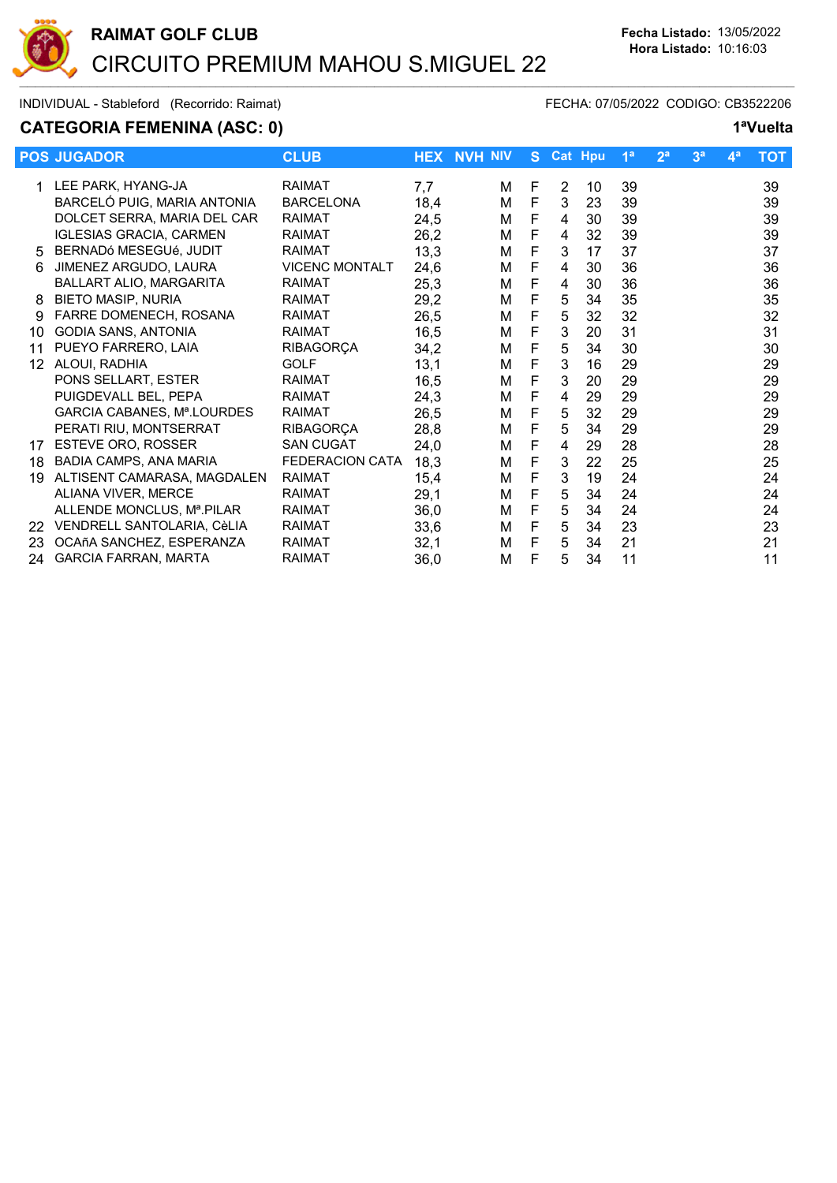

# CATEGORIA FEMENINA (ASC: 0) 1<sup>a</sup>Vuelta

|    | <b>POS JUGADOR</b>             | <b>CLUB</b>            |      | <b>HEX NVH NIV</b> | S. |   | <b>Cat Hpu</b> | 1 <sup>a</sup> | 2 <sup>a</sup> | 3 <sup>a</sup> | $\mathbf{4}^{\mathsf{a}}$ | <b>TOT</b> |
|----|--------------------------------|------------------------|------|--------------------|----|---|----------------|----------------|----------------|----------------|---------------------------|------------|
|    | 1 LEE PARK, HYANG-JA           | <b>RAIMAT</b>          | 7,7  | м                  | F  | 2 | 10             | 39             |                |                |                           | 39         |
|    | BARCELÓ PUIG, MARIA ANTONIA    | <b>BARCELONA</b>       | 18,4 | М                  | F  | 3 | 23             | 39             |                |                |                           | 39         |
|    | DOLCET SERRA, MARIA DEL CAR    | <b>RAIMAT</b>          | 24,5 | м                  | F  | 4 | 30             | 39             |                |                |                           | 39         |
|    | <b>IGLESIAS GRACIA, CARMEN</b> | <b>RAIMAT</b>          | 26,2 | М                  | F  | 4 | 32             | 39             |                |                |                           | 39         |
| 5  | BERNADÓ MESEGUÉ, JUDIT         | <b>RAIMAT</b>          | 13,3 | М                  | F  | 3 | 17             | 37             |                |                |                           | 37         |
| 6  | JIMENEZ ARGUDO, LAURA          | <b>VICENC MONTALT</b>  | 24,6 | М                  | F  | 4 | 30             | 36             |                |                |                           | 36         |
|    | BALLART ALIO, MARGARITA        | <b>RAIMAT</b>          | 25,3 | М                  | F  | 4 | 30             | 36             |                |                |                           | 36         |
| 8  | <b>BIETO MASIP, NURIA</b>      | <b>RAIMAT</b>          | 29,2 | М                  | F  | 5 | 34             | 35             |                |                |                           | 35         |
| 9  | FARRE DOMENECH, ROSANA         | <b>RAIMAT</b>          | 26,5 | М                  | F  | 5 | 32             | 32             |                |                |                           | 32         |
| 10 | GODIA SANS, ANTONIA            | <b>RAIMAT</b>          | 16,5 | М                  | F  | 3 | 20             | 31             |                |                |                           | 31         |
| 11 | PUEYO FARRERO, LAIA            | <b>RIBAGORÇA</b>       | 34,2 | М                  | F  | 5 | 34             | 30             |                |                |                           | 30         |
| 12 | ALOUI, RADHIA                  | <b>GOLF</b>            | 13,1 | М                  | F  | 3 | 16             | 29             |                |                |                           | 29         |
|    | PONS SELLART, ESTER            | <b>RAIMAT</b>          | 16,5 | М                  | F  | 3 | 20             | 29             |                |                |                           | 29         |
|    | PUIGDEVALL BEL, PEPA           | <b>RAIMAT</b>          | 24,3 | м                  | F  | 4 | 29             | 29             |                |                |                           | 29         |
|    | GARCIA CABANES, Mª.LOURDES     | <b>RAIMAT</b>          | 26,5 | М                  | F  | 5 | 32             | 29             |                |                |                           | 29         |
|    | PERATI RIU, MONTSERRAT         | <b>RIBAGORÇA</b>       | 28,8 | М                  | F  | 5 | 34             | 29             |                |                |                           | 29         |
| 17 | ESTEVE ORO, ROSSER             | <b>SAN CUGAT</b>       | 24,0 | М                  | F  | 4 | 29             | 28             |                |                |                           | 28         |
| 18 | BADIA CAMPS, ANA MARIA         | <b>FEDERACION CATA</b> | 18,3 | М                  | F  | 3 | 22             | 25             |                |                |                           | 25         |
| 19 | ALTISENT CAMARASA, MAGDALEN    | <b>RAIMAT</b>          | 15,4 | М                  | F  | 3 | 19             | 24             |                |                |                           | 24         |
|    | ALIANA VIVER, MERCE            | <b>RAIMAT</b>          | 29,1 | М                  | F  | 5 | 34             | 24             |                |                |                           | 24         |
|    | ALLENDE MONCLUS, Mª.PILAR      | <b>RAIMAT</b>          | 36,0 | м                  | F  | 5 | 34             | 24             |                |                |                           | 24         |
| 22 | VENDRELL SANTOLARIA, CèLIA     | <b>RAIMAT</b>          | 33,6 | М                  | F  | 5 | 34             | 23             |                |                |                           | 23         |
| 23 | OCAñA SANCHEZ, ESPERANZA       | <b>RAIMAT</b>          | 32,1 | М                  | F  | 5 | 34             | 21             |                |                |                           | 21         |
| 24 | <b>GARCIA FARRAN, MARTA</b>    | <b>RAIMAT</b>          | 36,0 | М                  | F  | 5 | 34             | 11             |                |                |                           | 11         |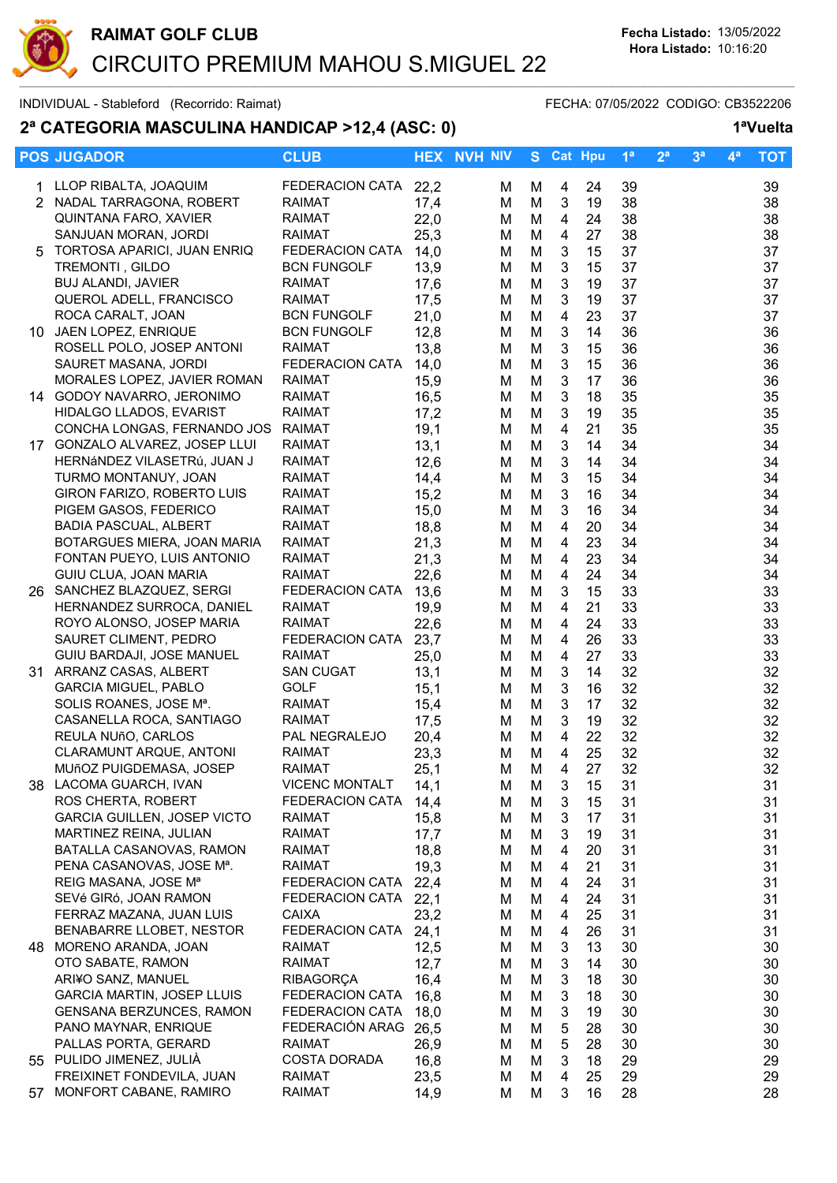

# 2ª CATEGORIA MASCULINA HANDICAP >12,4 (ASC: 0) 1ªVuelta

|    | <b>POS JUGADOR</b>                                   | <b>CLUB</b>                          |              | <b>HEX NVH NIV</b> |        | S Cat Hpu      |          | 1 <sup>a</sup> | 2 <sup>a</sup> | 3 <sup>a</sup> | $\mathbf{4}^{\mathsf{a}}$ | <b>TOT</b> |
|----|------------------------------------------------------|--------------------------------------|--------------|--------------------|--------|----------------|----------|----------------|----------------|----------------|---------------------------|------------|
|    | 1 LLOP RIBALTA, JOAQUIM                              | FEDERACION CATA 22,2                 |              | м                  | м      | 4              | 24       | 39             |                |                |                           | 39         |
|    | 2 NADAL TARRAGONA, ROBERT                            | <b>RAIMAT</b>                        | 17,4         | M                  | M      | $\mathbf{3}$   | 19       | 38             |                |                |                           | 38         |
|    | QUINTANA FARO, XAVIER                                | <b>RAIMAT</b>                        | 22,0         | м                  | M      | 4              | 24       | 38             |                |                |                           | 38         |
|    | SANJUAN MORAN, JORDI                                 | <b>RAIMAT</b>                        | 25,3         | м                  | M      | 4              | 27       | 38             |                |                |                           | 38         |
| 5  | TORTOSA APARICI, JUAN ENRIQ                          | FEDERACION CATA                      | 14,0         | м                  | M      | 3              | 15       | 37             |                |                |                           | 37         |
|    | TREMONTI, GILDO                                      | <b>BCN FUNGOLF</b>                   | 13,9         | м                  | M      | 3              | 15       | 37             |                |                |                           | 37         |
|    | <b>BUJ ALANDI, JAVIER</b>                            | <b>RAIMAT</b>                        | 17,6         | м                  | M      | 3              | 19       | 37             |                |                |                           | 37         |
|    | QUEROL ADELL, FRANCISCO                              | <b>RAIMAT</b>                        | 17,5         | м                  | M      | 3              | 19       | 37             |                |                |                           | 37         |
|    | ROCA CARALT, JOAN                                    | <b>BCN FUNGOLF</b>                   | 21,0         | M                  | M      | $\overline{4}$ | 23       | 37             |                |                |                           | 37         |
|    | 10 JAEN LOPEZ, ENRIQUE                               | <b>BCN FUNGOLF</b>                   | 12,8         | M                  | M      | $\sqrt{3}$     | 14       | 36             |                |                |                           | 36         |
|    | ROSELL POLO, JOSEP ANTONI                            | <b>RAIMAT</b>                        | 13,8         | M                  | M      | $\sqrt{3}$     | 15       | 36             |                |                |                           | 36         |
|    | SAURET MASANA, JORDI                                 | FEDERACION CATA                      | 14,0         | M                  | M      | $\sqrt{3}$     | 15       | 36             |                |                |                           | 36         |
|    | MORALES LOPEZ, JAVIER ROMAN                          | <b>RAIMAT</b>                        | 15,9         | м                  | M      | $\sqrt{3}$     | 17       | 36             |                |                |                           | 36         |
|    | 14 GODOY NAVARRO, JERONIMO                           | <b>RAIMAT</b>                        | 16,5         | м                  | M      | $\mathbf{3}$   | 18       | 35             |                |                |                           | 35         |
|    | HIDALGO LLADOS, EVARIST                              | <b>RAIMAT</b>                        | 17,2         | м                  | M      | $\mathbf{3}$   | 19       | 35             |                |                |                           | 35         |
|    | CONCHA LONGAS, FERNANDO JOS                          | <b>RAIMAT</b>                        | 19,1         | м                  | M      | $\overline{4}$ | 21       | 35             |                |                |                           | 35         |
|    | 17 GONZALO ALVAREZ, JOSEP LLUI                       | <b>RAIMAT</b>                        | 13,1         | м                  | M      | $\mathbf{3}$   | 14       | 34             |                |                |                           | 34         |
|    | HERNÁNDEZ VILASETRÚ, JUAN J                          | <b>RAIMAT</b>                        | 12,6         | м                  | M      | 3              | 14       | 34             |                |                |                           | 34         |
|    | TURMO MONTANUY, JOAN                                 | <b>RAIMAT</b>                        | 14,4         | м                  | M      | 3              | 15       | 34             |                |                |                           | 34         |
|    | GIRON FARIZO, ROBERTO LUIS                           | <b>RAIMAT</b>                        | 15,2         | м                  | M      | 3              | 16       | 34             |                |                |                           | 34         |
|    | PIGEM GASOS, FEDERICO                                | RAIMAT                               | 15,0         | M                  | M      | 3              | 16       | 34             |                |                |                           | 34         |
|    | BADIA PASCUAL, ALBERT                                | <b>RAIMAT</b>                        | 18,8         | M                  | M      | $\overline{4}$ | 20       | 34             |                |                |                           | 34         |
|    | BOTARGUES MIERA, JOAN MARIA                          | <b>RAIMAT</b>                        | 21,3         | M                  | M      | $\overline{4}$ | 23       | 34             |                |                |                           | 34         |
|    | FONTAN PUEYO, LUIS ANTONIO                           | <b>RAIMAT</b>                        | 21,3         | м                  | M      | $\overline{4}$ | 23       | 34             |                |                |                           | 34         |
|    | GUIU CLUA, JOAN MARIA                                | <b>RAIMAT</b>                        | 22,6         | M                  | M      | $\overline{4}$ | 24       | 34             |                |                |                           | 34         |
|    | 26 SANCHEZ BLAZQUEZ, SERGI                           | FEDERACION CATA                      | 13,6         | M                  | M      | $\mathbf{3}$   | 15       | 33             |                |                |                           | 33         |
|    | HERNANDEZ SURROCA, DANIEL                            | <b>RAIMAT</b>                        | 19,9         | м                  | M      | 4              | 21       | 33             |                |                |                           | 33         |
|    | ROYO ALONSO, JOSEP MARIA                             | <b>RAIMAT</b>                        | 22,6         | M                  | M      | 4              | 24       | 33             |                |                |                           | 33         |
|    | SAURET CLIMENT, PEDRO                                | FEDERACION CATA                      | 23,7         | м                  | M      | 4              | 26       | 33             |                |                |                           | 33         |
|    | GUIU BARDAJI, JOSE MANUEL                            | <b>RAIMAT</b>                        | 25,0         | м                  | M      | $\overline{4}$ | 27       | 33             |                |                |                           | 33         |
|    | 31 ARRANZ CASAS, ALBERT                              | <b>SAN CUGAT</b>                     | 13,1         | м                  | M      | 3              | 14       | 32             |                |                |                           | 32         |
|    | <b>GARCIA MIGUEL, PABLO</b>                          | GOLF                                 | 15,1         | м                  | M      | $\mathbf{3}$   | 16       | 32             |                |                |                           | 32         |
|    | SOLIS ROANES, JOSE Mª.                               | RAIMAT                               | 15,4         | M                  | M      | 3              | 17       | 32             |                |                |                           | 32         |
|    | CASANELLA ROCA, SANTIAGO                             | <b>RAIMAT</b>                        | 17,5         | м                  | M      | $\mathbf{3}$   | 19       | 32             |                |                |                           | 32         |
|    | REULA NUñO, CARLOS                                   | PAL NEGRALEJO                        | 20,4         | м                  | M      | $\overline{4}$ | 22       | 32             |                |                |                           | 32         |
|    | CLARAMUNT ARQUE, ANTONI                              | <b>RAIMAT</b>                        | 23,3         | M                  | M      | $\overline{4}$ | 25       | 32             |                |                |                           | 32         |
|    | MUñOZ PUIGDEMASA, JOSEP                              | RAIMAT                               | 25,1         | M                  | М      | 4              | 27       | 32             |                |                |                           | 32         |
|    | 38 LACOMA GUARCH, IVAN                               | <b>VICENC MONTALT</b>                | 14,1         | м                  | M      | 3              | 15       | 31             |                |                |                           | 31         |
|    | ROS CHERTA, ROBERT                                   | FEDERACION CATA                      | 14,4         | м                  | м      | 3              | 15       | 31             |                |                |                           | 31         |
|    | <b>GARCIA GUILLEN, JOSEP VICTO</b>                   | RAIMAT                               | 15,8         | м                  | M      | 3              | 17       | 31             |                |                |                           | 31         |
|    | MARTINEZ REINA, JULIAN                               | RAIMAT                               | 17,7         | M                  | M      | 3              | 19       | 31             |                |                |                           | 31         |
|    | BATALLA CASANOVAS, RAMON                             | <b>RAIMAT</b>                        | 18,8         | м                  | M      | 4              | 20       | 31             |                |                |                           | 31         |
|    | PENA CASANOVAS, JOSE Mª.                             | RAIMAT                               | 19,3         | м                  | M      | 4              | 21       | 31             |                |                |                           | 31         |
|    | REIG MASANA, JOSE Mª                                 | FEDERACION CATA                      | 22,4         | M                  | М      | 4              | 24       | 31             |                |                |                           | 31         |
|    | SEVé GIRó, JOAN RAMON                                | FEDERACION CATA 22,1<br><b>CAIXA</b> |              | м                  | М      | 4              | 24       | 31             |                |                |                           | 31         |
|    | FERRAZ MAZANA, JUAN LUIS<br>BENABARRE LLOBET, NESTOR | FEDERACION CATA 24,1                 | 23,2         | м                  | M      | 4              | 25       | 31             |                |                |                           | 31         |
|    | 48 MORENO ARANDA, JOAN                               | <b>RAIMAT</b>                        |              | M                  | M      | 4              | 26<br>13 | 31<br>30       |                |                |                           | 31         |
|    | OTO SABATE, RAMON                                    | RAIMAT                               | 12,5<br>12,7 | м                  | M      | 3              | 14       | 30             |                |                |                           | 30<br>30   |
|    | ARI¥O SANZ, MANUEL                                   | <b>RIBAGORÇA</b>                     | 16,4         | м<br>M             | M<br>M | 3<br>3         | 18       | 30             |                |                |                           | 30         |
|    | <b>GARCIA MARTIN, JOSEP LLUIS</b>                    | FEDERACION CATA                      | 16,8         |                    |        |                | 18       |                |                |                |                           |            |
|    | GENSANA BERZUNCES, RAMON                             | FEDERACION CATA                      | 18,0         | M<br>M             | M<br>M | 3<br>3         | 19       | 30<br>30       |                |                |                           | 30<br>30   |
|    | PANO MAYNAR, ENRIQUE                                 | FEDERACIÓN ARAG 26,5                 |              | м                  | M      | 5              | 28       | 30             |                |                |                           | 30         |
|    | PALLAS PORTA, GERARD                                 | <b>RAIMAT</b>                        | 26,9         | м                  | M      | 5              | 28       | 30             |                |                |                           | 30         |
|    | 55 PULIDO JIMENEZ, JULIÀ                             | <b>COSTA DORADA</b>                  | 16,8         | м                  | M      | 3              | 18       | 29             |                |                |                           | 29         |
|    | FREIXINET FONDEVILA, JUAN                            | RAIMAT                               | 23,5         | M                  | M      | 4              | 25       | 29             |                |                |                           | 29         |
| 57 | MONFORT CABANE, RAMIRO                               | <b>RAIMAT</b>                        | 14,9         | M                  | М      | 3              | 16       | 28             |                |                |                           | 28         |